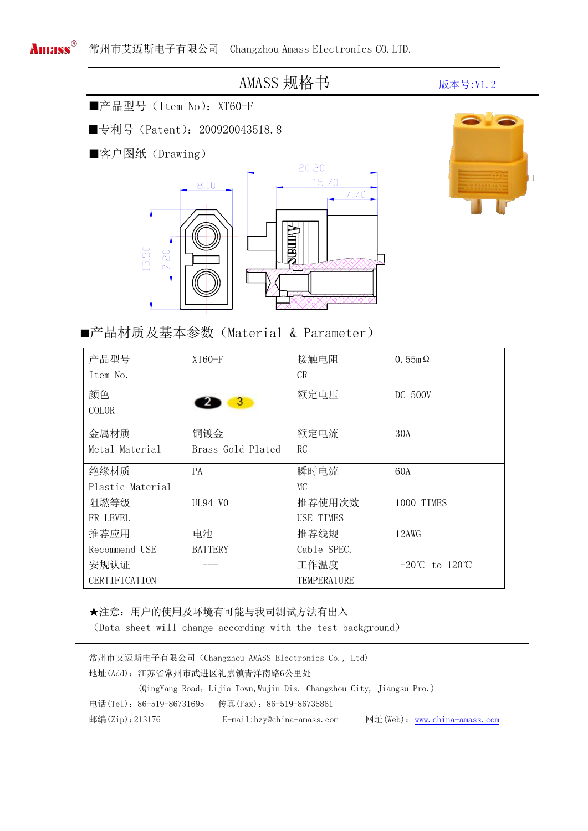## AMASS 规格书 **MASS** 成本号:V1.2

■产品型号 (Item No): XT60-F

■专利号 (Patent): 200920043518.8

■客户图纸(Drawing)





■产品材质及基本参数(Material & Parameter)

| 产品型号<br>Item No.       | $XT60-F$                 | 接触电阻<br>CR        | $0.55m\Omega$                                  |
|------------------------|--------------------------|-------------------|------------------------------------------------|
| 颜色<br><b>COLOR</b>     | 3                        | 额定电压              | DC 500V                                        |
| 金属材质<br>Metal Material | 铜镀金<br>Brass Gold Plated | 额定电流<br><b>RC</b> | 30A                                            |
| 绝缘材质                   | <b>PA</b>                | 瞬时电流              | 60A                                            |
| Plastic Material       |                          | MC                |                                                |
| 阻燃等级                   | UL94 VO                  | 推荐使用次数            | 1000 TIMES                                     |
| FR LEVEL               |                          | USE TIMES         |                                                |
| 推荐应用                   | 电池                       | 推荐线规              | 12AWG                                          |
| Recommend USE          | <b>BATTERY</b>           | Cable SPEC.       |                                                |
| 安规认证                   |                          | 工作温度              | $-20^{\circ}\text{C}$ to $120^{\circ}\text{C}$ |
| CERTIFICATION          |                          | TEMPERATURE       |                                                |

★注意:用户的使用及环境有可能与我司测试方法有出入 (Data sheet will change according with the test background)

| 常州市艾迈斯电子有限公司 (Changzhou AMASS Electronics Co., Ltd) |                          |                                                                      |  |  |                              |
|-----------------------------------------------------|--------------------------|----------------------------------------------------------------------|--|--|------------------------------|
|                                                     |                          | 地址(Add): 江苏省常州市武进区礼嘉镇青洋南路6公里处                                        |  |  |                              |
|                                                     |                          | (QingYang Road, Lijia Town, Wujin Dis. Changzhou City, Jiangsu Pro.) |  |  |                              |
|                                                     | 电话(Tel): 86-519-86731695 | 传真(Fax):86-519-86735861                                              |  |  |                              |
| 邮编(Zip): 213176                                     |                          | E-mail:hzv@china-amass.com                                           |  |  | 网址(Web): www.china-amass.com |